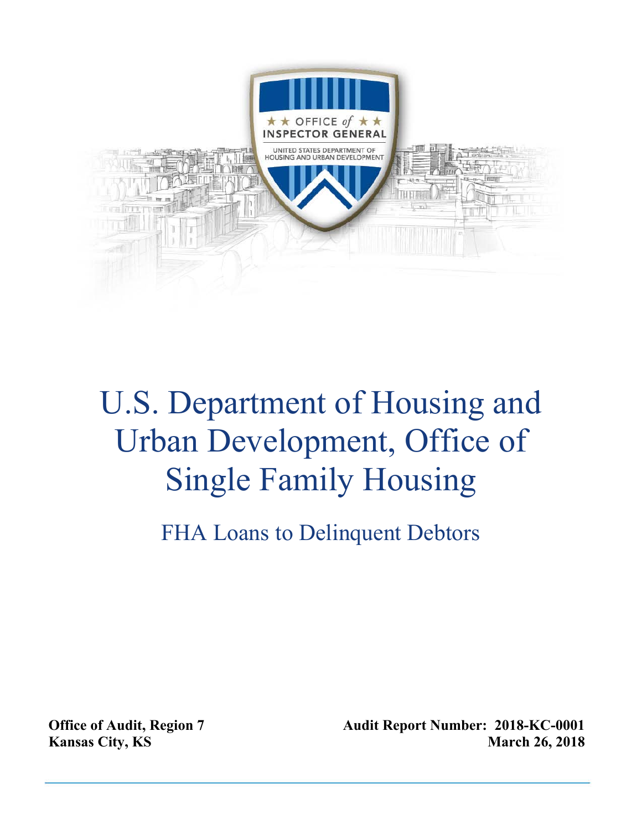

# U.S. Department of Housing and Urban Development, Office of Single Family Housing

FHA Loans to Delinquent Debtors

**Office of Audit, Region 7 Kansas City, KS** 

**Audit Report Number: 2018-KC-0001 March 26, 2018**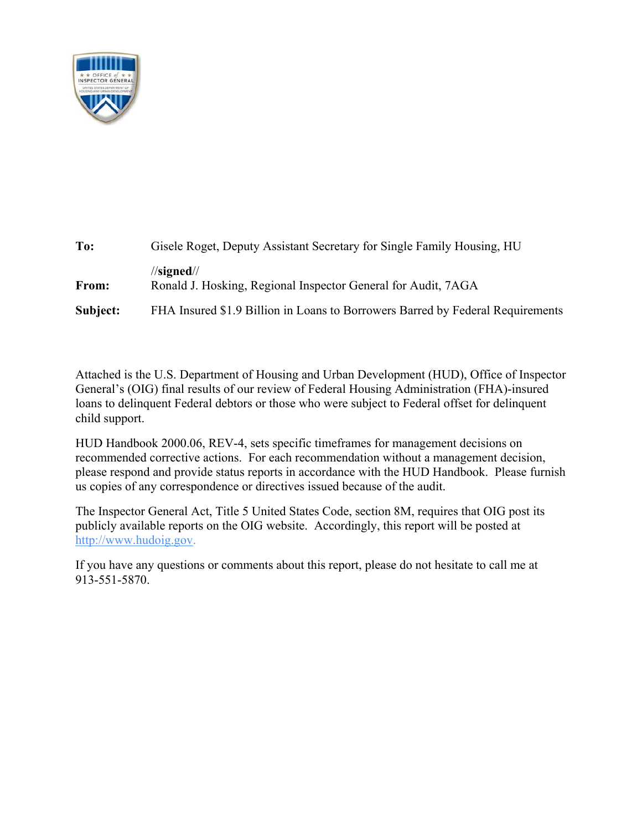

| To:      | Gisele Roget, Deputy Assistant Secretary for Single Family Housing, HU                |  |  |
|----------|---------------------------------------------------------------------------------------|--|--|
| From:    | $\frac{1}{\sqrt{2}}$<br>Ronald J. Hosking, Regional Inspector General for Audit, 7AGA |  |  |
| Subject: | FHA Insured \$1.9 Billion in Loans to Borrowers Barred by Federal Requirements        |  |  |

Attached is the U.S. Department of Housing and Urban Development (HUD), Office of Inspector General's (OIG) final results of our review of Federal Housing Administration (FHA)-insured loans to delinquent Federal debtors or those who were subject to Federal offset for delinquent child support.

HUD Handbook 2000.06, REV-4, sets specific timeframes for management decisions on recommended corrective actions. For each recommendation without a management decision, please respond and provide status reports in accordance with the HUD Handbook. Please furnish us copies of any correspondence or directives issued because of the audit.

The Inspector General Act, Title 5 United States Code, section 8M, requires that OIG post its publicly available reports on the OIG website. Accordingly, this report will be posted at http://www.hudoig.gov.

If you have any questions or comments about this report, please do not hesitate to call me at 913-551-5870.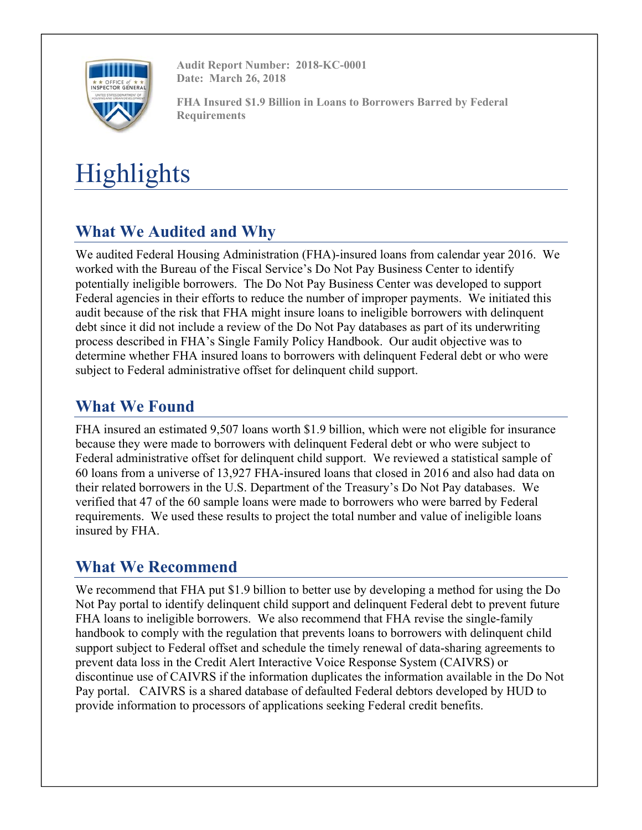

**Audit Report Number: 2018-KC-0001 Date: March 26, 2018** 

**FHA Insured \$1.9 Billion in Loans to Borrowers Barred by Federal Requirements** 

# **Highlights**

# **What We Audited and Why**

We audited Federal Housing Administration (FHA)-insured loans from calendar year 2016. We worked with the Bureau of the Fiscal Service's Do Not Pay Business Center to identify potentially ineligible borrowers. The Do Not Pay Business Center was developed to support Federal agencies in their efforts to reduce the number of improper payments. We initiated this audit because of the risk that FHA might insure loans to ineligible borrowers with delinquent debt since it did not include a review of the Do Not Pay databases as part of its underwriting process described in FHA's Single Family Policy Handbook. Our audit objective was to determine whether FHA insured loans to borrowers with delinquent Federal debt or who were subject to Federal administrative offset for delinquent child support.

# **What We Found**

FHA insured an estimated 9,507 loans worth \$1.9 billion, which were not eligible for insurance because they were made to borrowers with delinquent Federal debt or who were subject to Federal administrative offset for delinquent child support. We reviewed a statistical sample of 60 loans from a universe of 13,927 FHA-insured loans that closed in 2016 and also had data on their related borrowers in the U.S. Department of the Treasury's Do Not Pay databases. We verified that 47 of the 60 sample loans were made to borrowers who were barred by Federal requirements. We used these results to project the total number and value of ineligible loans insured by FHA.

# **What We Recommend**

We recommend that FHA put \$1.9 billion to better use by developing a method for using the Do Not Pay portal to identify delinquent child support and delinquent Federal debt to prevent future FHA loans to ineligible borrowers. We also recommend that FHA revise the single-family handbook to comply with the regulation that prevents loans to borrowers with delinquent child support subject to Federal offset and schedule the timely renewal of data-sharing agreements to prevent data loss in the Credit Alert Interactive Voice Response System (CAIVRS) or discontinue use of CAIVRS if the information duplicates the information available in the Do Not Pay portal. CAIVRS is a shared database of defaulted Federal debtors developed by HUD to provide information to processors of applications seeking Federal credit benefits.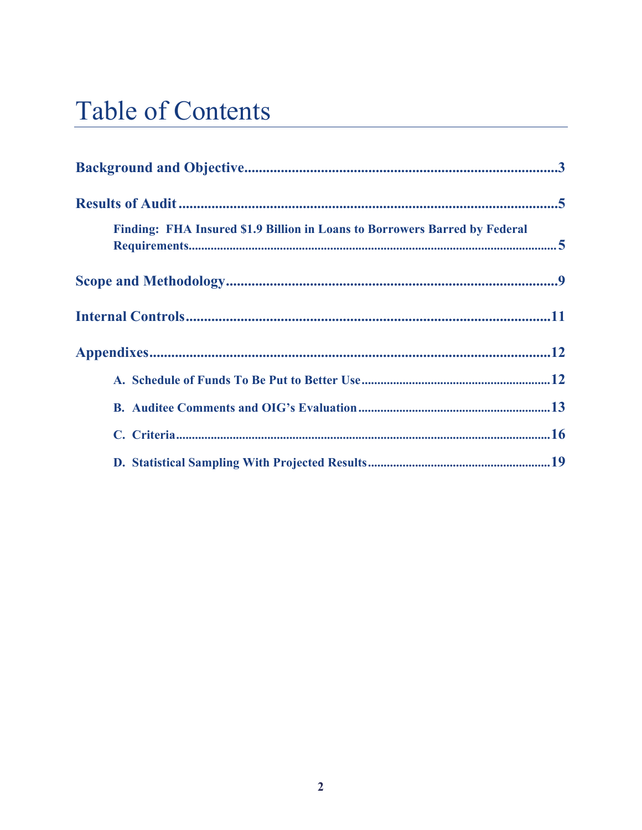# **Table of Contents**

| Finding: FHA Insured \$1.9 Billion in Loans to Borrowers Barred by Federal |  |  |  |  |  |
|----------------------------------------------------------------------------|--|--|--|--|--|
|                                                                            |  |  |  |  |  |
|                                                                            |  |  |  |  |  |
|                                                                            |  |  |  |  |  |
|                                                                            |  |  |  |  |  |
|                                                                            |  |  |  |  |  |
|                                                                            |  |  |  |  |  |
|                                                                            |  |  |  |  |  |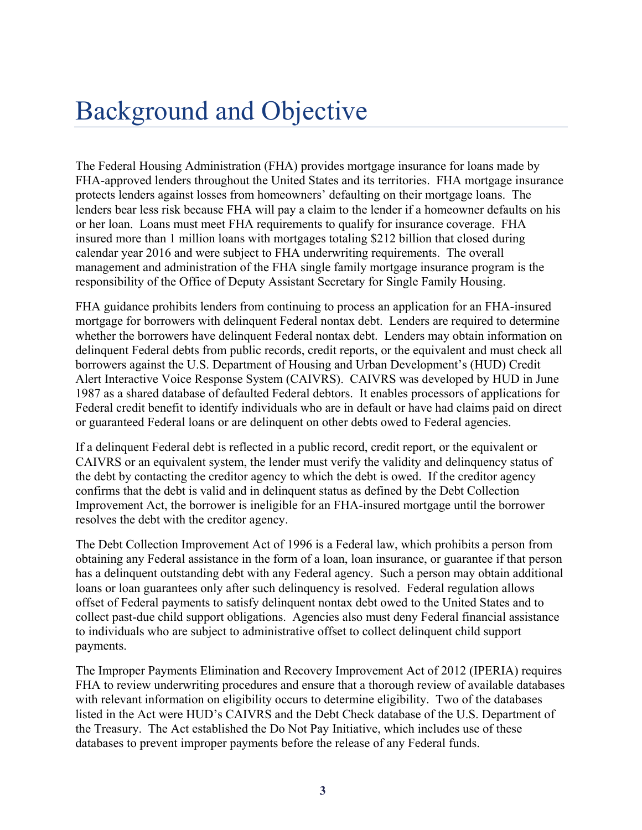# Background and Objective

The Federal Housing Administration (FHA) provides mortgage insurance for loans made by FHA-approved lenders throughout the United States and its territories. FHA mortgage insurance protects lenders against losses from homeowners' defaulting on their mortgage loans. The lenders bear less risk because FHA will pay a claim to the lender if a homeowner defaults on his or her loan. Loans must meet FHA requirements to qualify for insurance coverage. FHA insured more than 1 million loans with mortgages totaling \$212 billion that closed during calendar year 2016 and were subject to FHA underwriting requirements. The overall management and administration of the FHA single family mortgage insurance program is the responsibility of the Office of Deputy Assistant Secretary for Single Family Housing.

FHA guidance prohibits lenders from continuing to process an application for an FHA-insured mortgage for borrowers with delinquent Federal nontax debt. Lenders are required to determine whether the borrowers have delinquent Federal nontax debt. Lenders may obtain information on delinquent Federal debts from public records, credit reports, or the equivalent and must check all borrowers against the U.S. Department of Housing and Urban Development's (HUD) Credit Alert Interactive Voice Response System (CAIVRS). CAIVRS was developed by HUD in June 1987 as a shared database of defaulted Federal debtors. It enables processors of applications for Federal credit benefit to identify individuals who are in default or have had claims paid on direct or guaranteed Federal loans or are delinquent on other debts owed to Federal agencies.

If a delinquent Federal debt is reflected in a public record, credit report, or the equivalent or CAIVRS or an equivalent system, the lender must verify the validity and delinquency status of the debt by contacting the creditor agency to which the debt is owed. If the creditor agency confirms that the debt is valid and in delinquent status as defined by the Debt Collection Improvement Act, the borrower is ineligible for an FHA-insured mortgage until the borrower resolves the debt with the creditor agency.

The Debt Collection Improvement Act of 1996 is a Federal law, which prohibits a person from obtaining any Federal assistance in the form of a loan, loan insurance, or guarantee if that person has a delinquent outstanding debt with any Federal agency. Such a person may obtain additional loans or loan guarantees only after such delinquency is resolved. Federal regulation allows offset of Federal payments to satisfy delinquent nontax debt owed to the United States and to collect past-due child support obligations. Agencies also must deny Federal financial assistance to individuals who are subject to administrative offset to collect delinquent child support payments.

The Improper Payments Elimination and Recovery Improvement Act of 2012 (IPERIA) requires FHA to review underwriting procedures and ensure that a thorough review of available databases with relevant information on eligibility occurs to determine eligibility. Two of the databases listed in the Act were HUD's CAIVRS and the Debt Check database of the U.S. Department of the Treasury. The Act established the Do Not Pay Initiative, which includes use of these databases to prevent improper payments before the release of any Federal funds.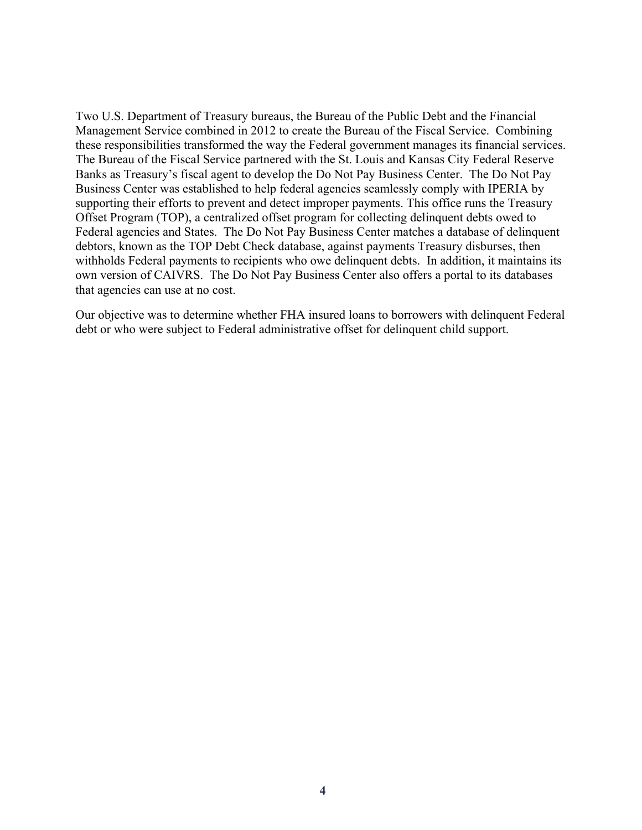Two U.S. Department of Treasury bureaus, the Bureau of the Public Debt and the Financial Management Service combined in 2012 to create the Bureau of the Fiscal Service. Combining these responsibilities transformed the way the Federal government manages its financial services. The Bureau of the Fiscal Service partnered with the St. Louis and Kansas City Federal Reserve Banks as Treasury's fiscal agent to develop the Do Not Pay Business Center. The Do Not Pay Business Center was established to help federal agencies seamlessly comply with IPERIA by supporting their efforts to prevent and detect improper payments. This office runs the Treasury Offset Program (TOP), a centralized offset program for collecting delinquent debts owed to Federal agencies and States. The Do Not Pay Business Center matches a database of delinquent debtors, known as the TOP Debt Check database, against payments Treasury disburses, then withholds Federal payments to recipients who owe delinquent debts. In addition, it maintains its own version of CAIVRS. The Do Not Pay Business Center also offers a portal to its databases that agencies can use at no cost.

Our objective was to determine whether FHA insured loans to borrowers with delinquent Federal debt or who were subject to Federal administrative offset for delinquent child support.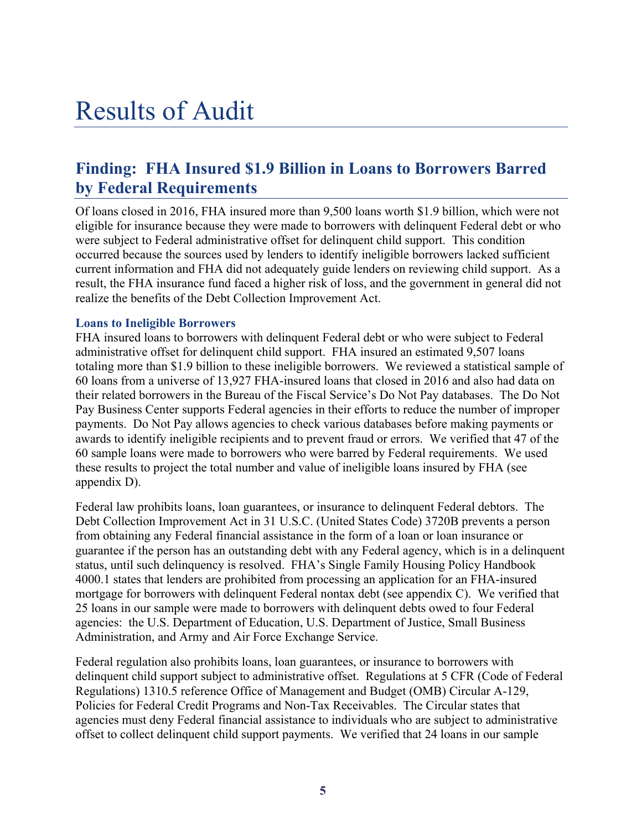# Results of Audit

# **Finding: FHA Insured \$1.9 Billion in Loans to Borrowers Barred by Federal Requirements**

Of loans closed in 2016, FHA insured more than 9,500 loans worth \$1.9 billion, which were not eligible for insurance because they were made to borrowers with delinquent Federal debt or who were subject to Federal administrative offset for delinquent child support. This condition occurred because the sources used by lenders to identify ineligible borrowers lacked sufficient current information and FHA did not adequately guide lenders on reviewing child support. As a result, the FHA insurance fund faced a higher risk of loss, and the government in general did not realize the benefits of the Debt Collection Improvement Act.

### **Loans to Ineligible Borrowers**

FHA insured loans to borrowers with delinquent Federal debt or who were subject to Federal administrative offset for delinquent child support. FHA insured an estimated 9,507 loans totaling more than \$1.9 billion to these ineligible borrowers. We reviewed a statistical sample of 60 loans from a universe of 13,927 FHA-insured loans that closed in 2016 and also had data on their related borrowers in the Bureau of the Fiscal Service's Do Not Pay databases. The Do Not Pay Business Center supports Federal agencies in their efforts to reduce the number of improper payments. Do Not Pay allows agencies to check various databases before making payments or awards to identify ineligible recipients and to prevent fraud or errors. We verified that 47 of the 60 sample loans were made to borrowers who were barred by Federal requirements. We used these results to project the total number and value of ineligible loans insured by FHA (see appendix D).

Federal law prohibits loans, loan guarantees, or insurance to delinquent Federal debtors. The Debt Collection Improvement Act in 31 U.S.C. (United States Code) 3720B prevents a person from obtaining any Federal financial assistance in the form of a loan or loan insurance or guarantee if the person has an outstanding debt with any Federal agency, which is in a delinquent status, until such delinquency is resolved. FHA's Single Family Housing Policy Handbook 4000.1 states that lenders are prohibited from processing an application for an FHA-insured mortgage for borrowers with delinquent Federal nontax debt (see appendix C). We verified that 25 loans in our sample were made to borrowers with delinquent debts owed to four Federal agencies: the U.S. Department of Education, U.S. Department of Justice, Small Business Administration, and Army and Air Force Exchange Service.

Federal regulation also prohibits loans, loan guarantees, or insurance to borrowers with delinquent child support subject to administrative offset. Regulations at 5 CFR (Code of Federal Regulations) 1310.5 reference Office of Management and Budget (OMB) Circular A-129, Policies for Federal Credit Programs and Non-Tax Receivables. The Circular states that agencies must deny Federal financial assistance to individuals who are subject to administrative offset to collect delinquent child support payments. We verified that 24 loans in our sample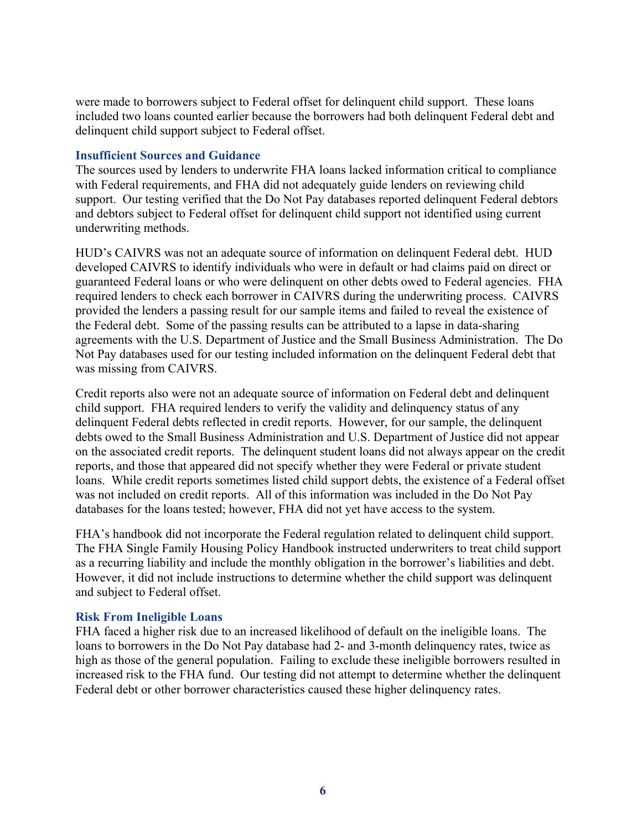were made to borrowers subject to Federal offset for delinquent child support. These loans included two loans counted earlier because the borrowers had both delinquent Federal debt and delinquent child support subject to Federal offset.

### **Insufficient Sources and Guidance**

The sources used by lenders to underwrite FHA loans lacked information critical to compliance with Federal requirements, and FHA did not adequately guide lenders on reviewing child support. Our testing verified that the Do Not Pay databases reported delinquent Federal debtors and debtors subject to Federal offset for delinquent child support not identified using current underwriting methods.

HUD's CAIVRS was not an adequate source of information on delinquent Federal debt. HUD developed CAIVRS to identify individuals who were in default or had claims paid on direct or guaranteed Federal loans or who were delinquent on other debts owed to Federal agencies. FHA required lenders to check each borrower in CAIVRS during the underwriting process. CAIVRS provided the lenders a passing result for our sample items and failed to reveal the existence of the Federal debt. Some of the passing results can be attributed to a lapse in data-sharing agreements with the U.S. Department of Justice and the Small Business Administration. The Do Not Pay databases used for our testing included information on the delinquent Federal debt that was missing from CAIVRS.

Credit reports also were not an adequate source of information on Federal debt and delinquent child support. FHA required lenders to verify the validity and delinquency status of any delinquent Federal debts reflected in credit reports. However, for our sample, the delinquent debts owed to the Small Business Administration and U.S. Department of Justice did not appear on the associated credit reports. The delinquent student loans did not always appear on the credit reports, and those that appeared did not specify whether they were Federal or private student loans. While credit reports sometimes listed child support debts, the existence of a Federal offset was not included on credit reports. All of this information was included in the Do Not Pay databases for the loans tested; however, FHA did not yet have access to the system.

FHA's handbook did not incorporate the Federal regulation related to delinquent child support. The FHA Single Family Housing Policy Handbook instructed underwriters to treat child support as a recurring liability and include the monthly obligation in the borrower's liabilities and debt. However, it did not include instructions to determine whether the child support was delinquent and subject to Federal offset.

### **Risk From Ineligible Loans**

FHA faced a higher risk due to an increased likelihood of default on the ineligible loans. The loans to borrowers in the Do Not Pay database had 2- and 3-month delinquency rates, twice as high as those of the general population. Failing to exclude these ineligible borrowers resulted in increased risk to the FHA fund. Our testing did not attempt to determine whether the delinquent Federal debt or other borrower characteristics caused these higher delinquency rates.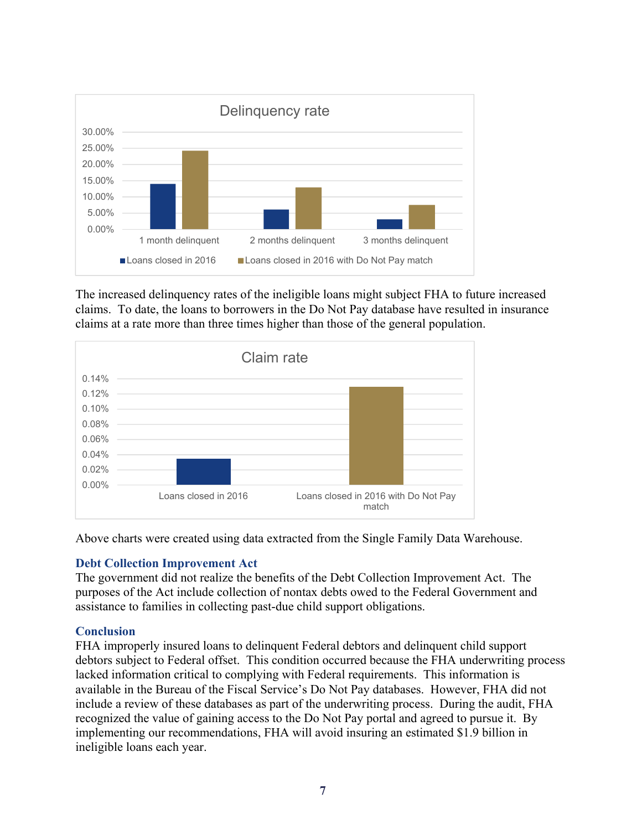

The increased delinquency rates of the ineligible loans might subject FHA to future increased claims. To date, the loans to borrowers in the Do Not Pay database have resulted in insurance claims at a rate more than three times higher than those of the general population.



Above charts were created using data extracted from the Single Family Data Warehouse.

## **Debt Collection Improvement Act**

The government did not realize the benefits of the Debt Collection Improvement Act. The purposes of the Act include collection of nontax debts owed to the Federal Government and assistance to families in collecting past-due child support obligations.

# **Conclusion**

FHA improperly insured loans to delinquent Federal debtors and delinquent child support debtors subject to Federal offset. This condition occurred because the FHA underwriting process lacked information critical to complying with Federal requirements. This information is available in the Bureau of the Fiscal Service's Do Not Pay databases. However, FHA did not include a review of these databases as part of the underwriting process. During the audit, FHA recognized the value of gaining access to the Do Not Pay portal and agreed to pursue it. By implementing our recommendations, FHA will avoid insuring an estimated \$1.9 billion in ineligible loans each year.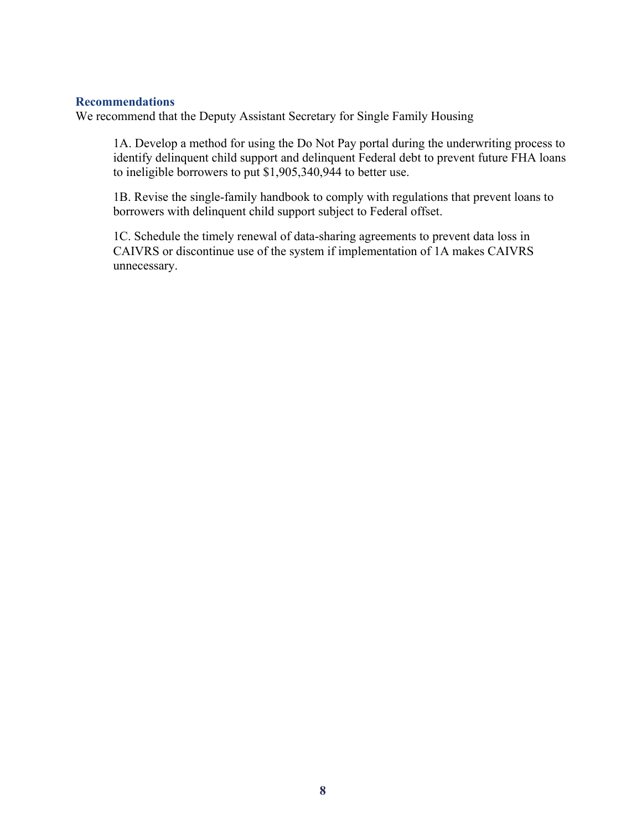#### **Recommendations**

We recommend that the Deputy Assistant Secretary for Single Family Housing

1A. Develop a method for using the Do Not Pay portal during the underwriting process to identify delinquent child support and delinquent Federal debt to prevent future FHA loans to ineligible borrowers to put \$1,905,340,944 to better use.

1B. Revise the single-family handbook to comply with regulations that prevent loans to borrowers with delinquent child support subject to Federal offset.

1C. Schedule the timely renewal of data-sharing agreements to prevent data loss in CAIVRS or discontinue use of the system if implementation of 1A makes CAIVRS unnecessary.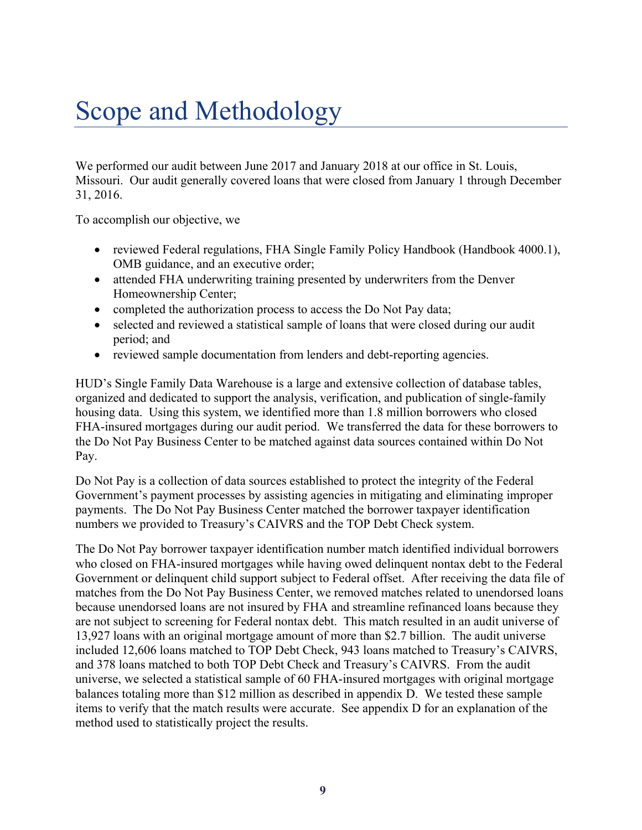# Scope and Methodology

We performed our audit between June 2017 and January 2018 at our office in St. Louis, Missouri. Our audit generally covered loans that were closed from January 1 through December 31, 2016.

To accomplish our objective, we

- reviewed Federal regulations, FHA Single Family Policy Handbook (Handbook 4000.1), OMB guidance, and an executive order;
- attended FHA underwriting training presented by underwriters from the Denver Homeownership Center;
- completed the authorization process to access the Do Not Pay data;
- selected and reviewed a statistical sample of loans that were closed during our audit period; and
- reviewed sample documentation from lenders and debt-reporting agencies.

HUD's Single Family Data Warehouse is a large and extensive collection of database tables, organized and dedicated to support the analysis, verification, and publication of single-family housing data. Using this system, we identified more than 1.8 million borrowers who closed FHA-insured mortgages during our audit period. We transferred the data for these borrowers to the Do Not Pay Business Center to be matched against data sources contained within Do Not Pay.

Do Not Pay is a collection of data sources established to protect the integrity of the Federal Government's payment processes by assisting agencies in mitigating and eliminating improper payments. The Do Not Pay Business Center matched the borrower taxpayer identification numbers we provided to Treasury's CAIVRS and the TOP Debt Check system.

The Do Not Pay borrower taxpayer identification number match identified individual borrowers who closed on FHA-insured mortgages while having owed delinquent nontax debt to the Federal Government or delinquent child support subject to Federal offset. After receiving the data file of matches from the Do Not Pay Business Center, we removed matches related to unendorsed loans because unendorsed loans are not insured by FHA and streamline refinanced loans because they are not subject to screening for Federal nontax debt. This match resulted in an audit universe of 13,927 loans with an original mortgage amount of more than \$2.7 billion. The audit universe included 12,606 loans matched to TOP Debt Check, 943 loans matched to Treasury's CAIVRS, and 378 loans matched to both TOP Debt Check and Treasury's CAIVRS. From the audit universe, we selected a statistical sample of 60 FHA-insured mortgages with original mortgage balances totaling more than \$12 million as described in appendix D. We tested these sample items to verify that the match results were accurate. See appendix D for an explanation of the method used to statistically project the results.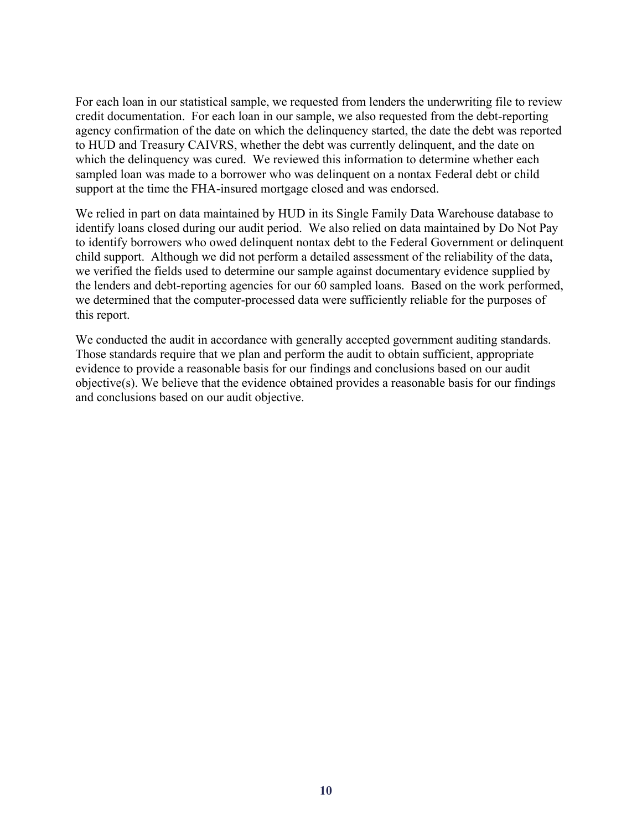For each loan in our statistical sample, we requested from lenders the underwriting file to review credit documentation. For each loan in our sample, we also requested from the debt-reporting agency confirmation of the date on which the delinquency started, the date the debt was reported to HUD and Treasury CAIVRS, whether the debt was currently delinquent, and the date on which the delinquency was cured. We reviewed this information to determine whether each sampled loan was made to a borrower who was delinquent on a nontax Federal debt or child support at the time the FHA-insured mortgage closed and was endorsed.

We relied in part on data maintained by HUD in its Single Family Data Warehouse database to identify loans closed during our audit period. We also relied on data maintained by Do Not Pay to identify borrowers who owed delinquent nontax debt to the Federal Government or delinquent child support. Although we did not perform a detailed assessment of the reliability of the data, we verified the fields used to determine our sample against documentary evidence supplied by the lenders and debt-reporting agencies for our 60 sampled loans. Based on the work performed, we determined that the computer-processed data were sufficiently reliable for the purposes of this report.

We conducted the audit in accordance with generally accepted government auditing standards. Those standards require that we plan and perform the audit to obtain sufficient, appropriate evidence to provide a reasonable basis for our findings and conclusions based on our audit objective(s). We believe that the evidence obtained provides a reasonable basis for our findings and conclusions based on our audit objective.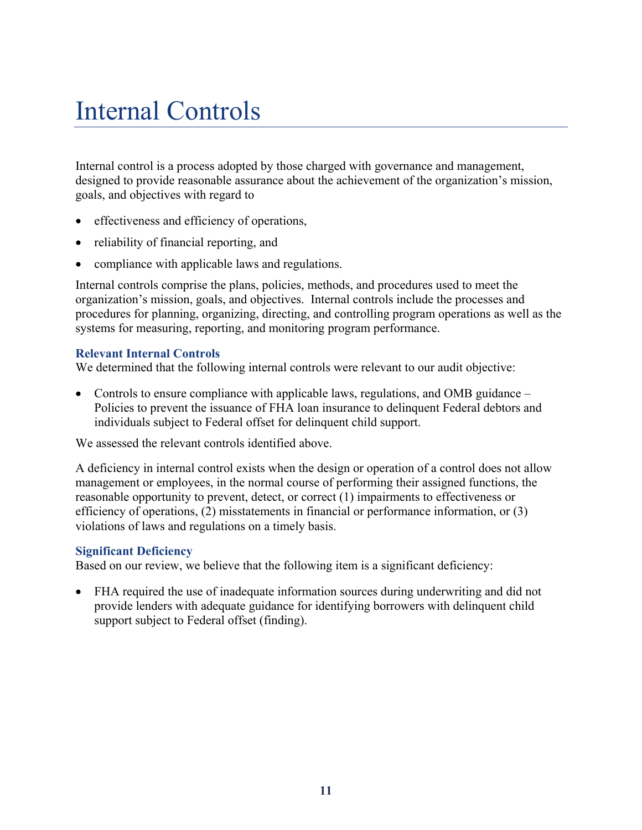# Internal Controls

Internal control is a process adopted by those charged with governance and management, designed to provide reasonable assurance about the achievement of the organization's mission, goals, and objectives with regard to

- effectiveness and efficiency of operations,
- reliability of financial reporting, and
- compliance with applicable laws and regulations.

Internal controls comprise the plans, policies, methods, and procedures used to meet the organization's mission, goals, and objectives. Internal controls include the processes and procedures for planning, organizing, directing, and controlling program operations as well as the systems for measuring, reporting, and monitoring program performance.

### **Relevant Internal Controls**

We determined that the following internal controls were relevant to our audit objective:

 Controls to ensure compliance with applicable laws, regulations, and OMB guidance – Policies to prevent the issuance of FHA loan insurance to delinquent Federal debtors and individuals subject to Federal offset for delinquent child support.

We assessed the relevant controls identified above.

A deficiency in internal control exists when the design or operation of a control does not allow management or employees, in the normal course of performing their assigned functions, the reasonable opportunity to prevent, detect, or correct (1) impairments to effectiveness or efficiency of operations, (2) misstatements in financial or performance information, or (3) violations of laws and regulations on a timely basis.

### **Significant Deficiency**

Based on our review, we believe that the following item is a significant deficiency:

 FHA required the use of inadequate information sources during underwriting and did not provide lenders with adequate guidance for identifying borrowers with delinquent child support subject to Federal offset (finding).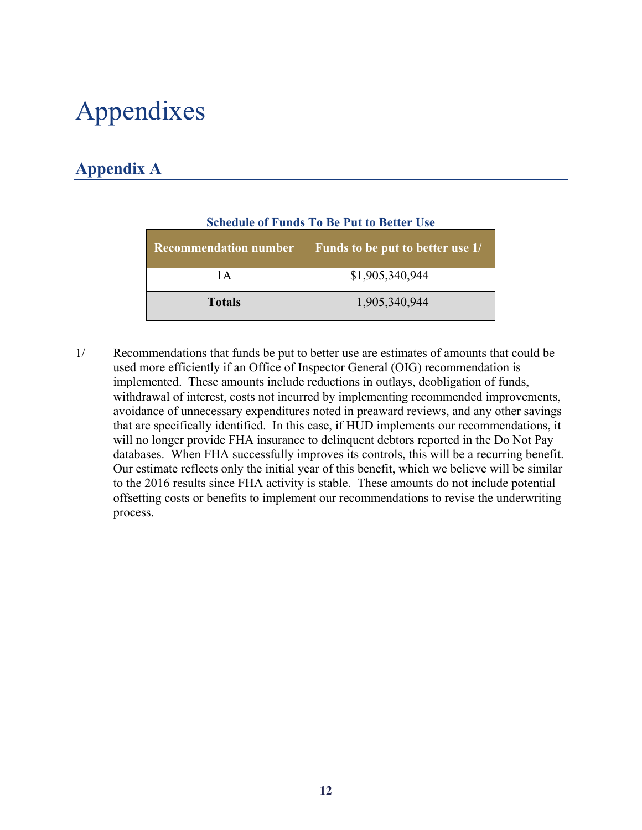# Appendixes

# **Appendix A**

| <b>Recommendation number</b> | Funds to be put to better use 1/ |
|------------------------------|----------------------------------|
| 1 A                          | \$1,905,340,944                  |
| <b>Totals</b>                | 1,905,340,944                    |

## **Schedule of Funds To Be Put to Better Use**

1/ Recommendations that funds be put to better use are estimates of amounts that could be used more efficiently if an Office of Inspector General (OIG) recommendation is implemented. These amounts include reductions in outlays, deobligation of funds, withdrawal of interest, costs not incurred by implementing recommended improvements, avoidance of unnecessary expenditures noted in preaward reviews, and any other savings that are specifically identified. In this case, if HUD implements our recommendations, it will no longer provide FHA insurance to delinquent debtors reported in the Do Not Pay databases. When FHA successfully improves its controls, this will be a recurring benefit. Our estimate reflects only the initial year of this benefit, which we believe will be similar to the 2016 results since FHA activity is stable. These amounts do not include potential offsetting costs or benefits to implement our recommendations to revise the underwriting process.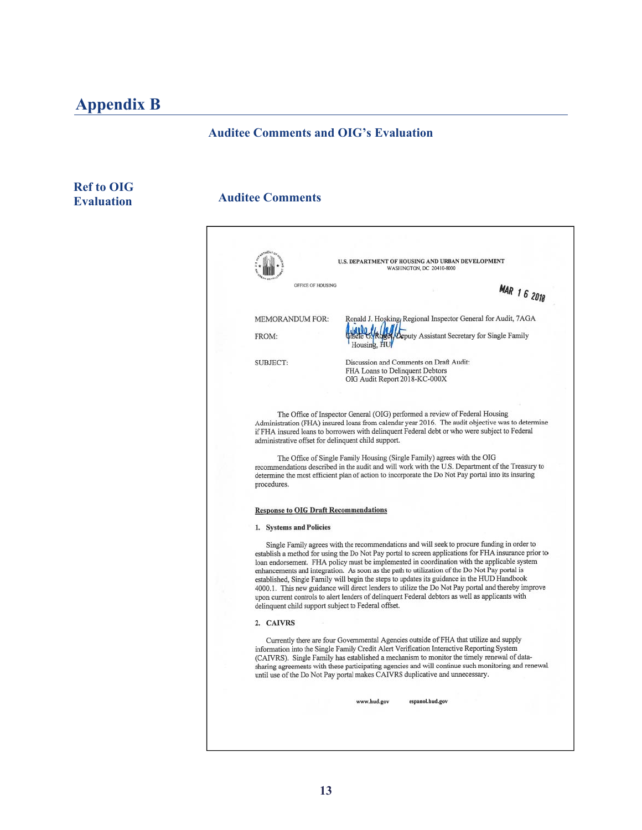# **Appendix B**

# **Auditee Comments and OIG's Evaluation**

# **Ref to OIG Evaluation**

# **Auditee Comments**

|                                                     | U.S. DEPARTMENT OF HOUSING AND URBAN DEVELOPMENT<br>WASHINGTON, DC 20410-8000                                                                                                                                                                                                                                                                                                                                                                                                                                                                                                                                                                                                                             |
|-----------------------------------------------------|-----------------------------------------------------------------------------------------------------------------------------------------------------------------------------------------------------------------------------------------------------------------------------------------------------------------------------------------------------------------------------------------------------------------------------------------------------------------------------------------------------------------------------------------------------------------------------------------------------------------------------------------------------------------------------------------------------------|
| OFFICE OF HOUSING                                   | <b>MAR 1 6 2018</b>                                                                                                                                                                                                                                                                                                                                                                                                                                                                                                                                                                                                                                                                                       |
| <b>MEMORANDUM FOR:</b>                              | Ronald J. Hosking, Regional Inspector General for Audit, 7AGA                                                                                                                                                                                                                                                                                                                                                                                                                                                                                                                                                                                                                                             |
| FROM:                                               | <b>Leputy Assistant Secretary for Single Family</b>                                                                                                                                                                                                                                                                                                                                                                                                                                                                                                                                                                                                                                                       |
| SUBJECT:                                            | Discussion and Comments on Draft Audit:<br>FHA Loans to Delinquent Debtors                                                                                                                                                                                                                                                                                                                                                                                                                                                                                                                                                                                                                                |
|                                                     | OIG Audit Report 2018-KC-000X                                                                                                                                                                                                                                                                                                                                                                                                                                                                                                                                                                                                                                                                             |
|                                                     | The Office of Inspector General (OIG) performed a review of Federal Housing                                                                                                                                                                                                                                                                                                                                                                                                                                                                                                                                                                                                                               |
| administrative offset for delinquent child support. | Administration (FHA) insured loans from calendar year 2016. The audit objective was to determine<br>if FHA insured loans to borrowers with delinquent Federal debt or who were subject to Federal                                                                                                                                                                                                                                                                                                                                                                                                                                                                                                         |
|                                                     | The Office of Single Family Housing (Single Family) agrees with the OIG<br>recommendations described in the audit and will work with the U.S. Department of the Treasury to<br>determine the most efficient plan of action to incorporate the Do Not Pay portal into its insuring                                                                                                                                                                                                                                                                                                                                                                                                                         |
| procedures.                                         |                                                                                                                                                                                                                                                                                                                                                                                                                                                                                                                                                                                                                                                                                                           |
| <b>Response to OIG Draft Recommendations</b>        |                                                                                                                                                                                                                                                                                                                                                                                                                                                                                                                                                                                                                                                                                                           |
| 1. Systems and Policies                             |                                                                                                                                                                                                                                                                                                                                                                                                                                                                                                                                                                                                                                                                                                           |
| delinquent child support subject to Federal offset. | Single Family agrees with the recommendations and will seek to procure funding in order to<br>establish a method for using the Do Not Pay portal to screen applications for FHA insurance prior to<br>loan endorsement. FHA policy must be implemented in coordination with the applicable system<br>enhancements and integration. As soon as the path to utilization of the Do Not Pay portal is<br>established, Single Family will begin the steps to updates its guidance in the HUD Handbook<br>4000.1. This new guidance will direct lenders to utilize the Do Not Pay portal and thereby improve<br>upon current controls to alert lenders of delinquent Federal debtors as well as applicants with |
| 2. CAIVRS                                           |                                                                                                                                                                                                                                                                                                                                                                                                                                                                                                                                                                                                                                                                                                           |
|                                                     | Currently there are four Governmental Agencies outside of FHA that utilize and supply<br>information into the Single Family Credit Alert Verification Interactive Reporting System<br>(CAIVRS). Single Family has established a mechanism to monitor the timely renewal of data-<br>sharing agreements with these participating agencies and will continue such monitoring and renewal<br>until use of the Do Not Pay portal makes CAIVRS duplicative and unnecessary.                                                                                                                                                                                                                                    |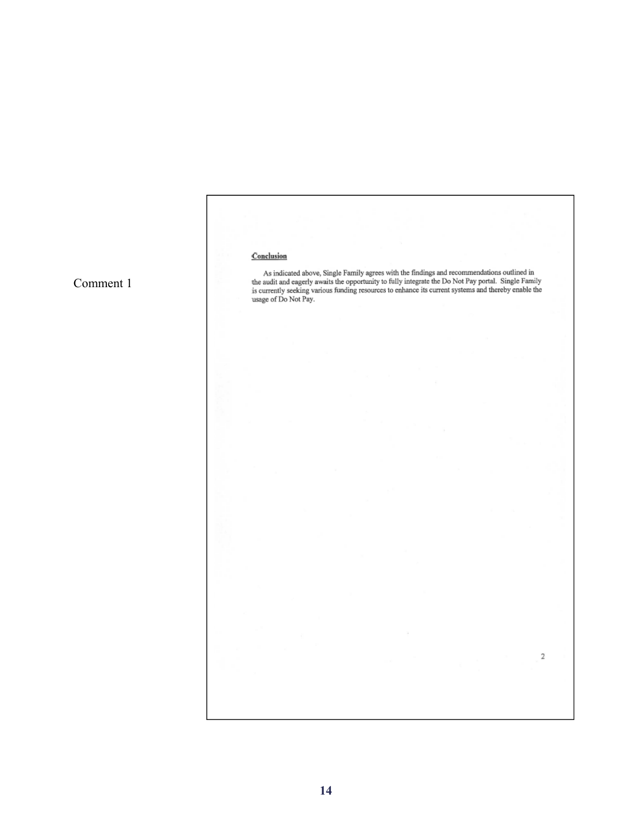#### Conclusion

As indicated above, Single Family agrees with the findings and recommendations outlined in the audit and eagerly awaits the opportunity to fully integrate the Do Not Pay portal. Single Family is currently seeking various f

 $\sqrt{2}$ 

Comment 1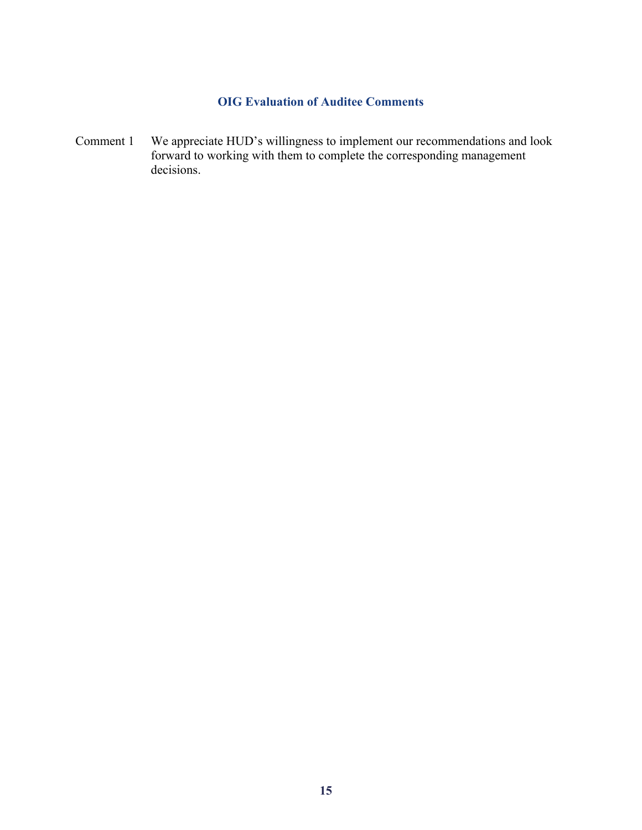# **OIG Evaluation of Auditee Comments**

Comment 1 We appreciate HUD's willingness to implement our recommendations and look forward to working with them to complete the corresponding management decisions.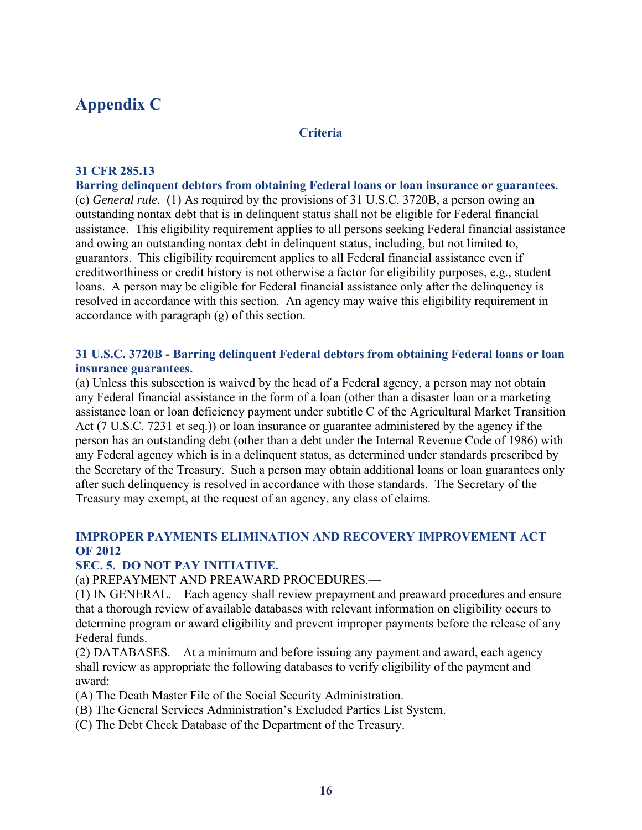# **Appendix C**

#### **Criteria**

### **31 CFR 285.13**

**Barring delinquent debtors from obtaining Federal loans or loan insurance or guarantees.**  (c) *General rule.* (1) As required by the provisions of 31 U.S.C. 3720B, a person owing an outstanding nontax debt that is in delinquent status shall not be eligible for Federal financial assistance. This eligibility requirement applies to all persons seeking Federal financial assistance and owing an outstanding nontax debt in delinquent status, including, but not limited to, guarantors. This eligibility requirement applies to all Federal financial assistance even if creditworthiness or credit history is not otherwise a factor for eligibility purposes, e.g., student loans. A person may be eligible for Federal financial assistance only after the delinquency is resolved in accordance with this section. An agency may waive this eligibility requirement in accordance with paragraph (g) of this section.

## **31 U.S.C. 3720B - Barring delinquent Federal debtors from obtaining Federal loans or loan insurance guarantees.**

(a) Unless this subsection is waived by the head of a Federal agency, a person may not obtain any Federal financial assistance in the form of a loan (other than a disaster loan or a marketing assistance loan or loan deficiency payment under subtitle C of the Agricultural Market Transition Act (7 U.S.C. 7231 et seq.)) or loan insurance or guarantee administered by the agency if the person has an outstanding debt (other than a debt under the Internal Revenue Code of 1986) with any Federal agency which is in a delinquent status, as determined under standards prescribed by the Secretary of the Treasury. Such a person may obtain additional loans or loan guarantees only after such delinquency is resolved in accordance with those standards. The Secretary of the Treasury may exempt, at the request of an agency, any class of claims.

## **IMPROPER PAYMENTS ELIMINATION AND RECOVERY IMPROVEMENT ACT OF 2012**

### **SEC. 5. DO NOT PAY INITIATIVE.**

(a) PREPAYMENT AND PREAWARD PROCEDURES.—

(1) IN GENERAL.—Each agency shall review prepayment and preaward procedures and ensure that a thorough review of available databases with relevant information on eligibility occurs to determine program or award eligibility and prevent improper payments before the release of any Federal funds.

(2) DATABASES.—At a minimum and before issuing any payment and award, each agency shall review as appropriate the following databases to verify eligibility of the payment and award:

- (A) The Death Master File of the Social Security Administration.
- (B) The General Services Administration's Excluded Parties List System.
- (C) The Debt Check Database of the Department of the Treasury.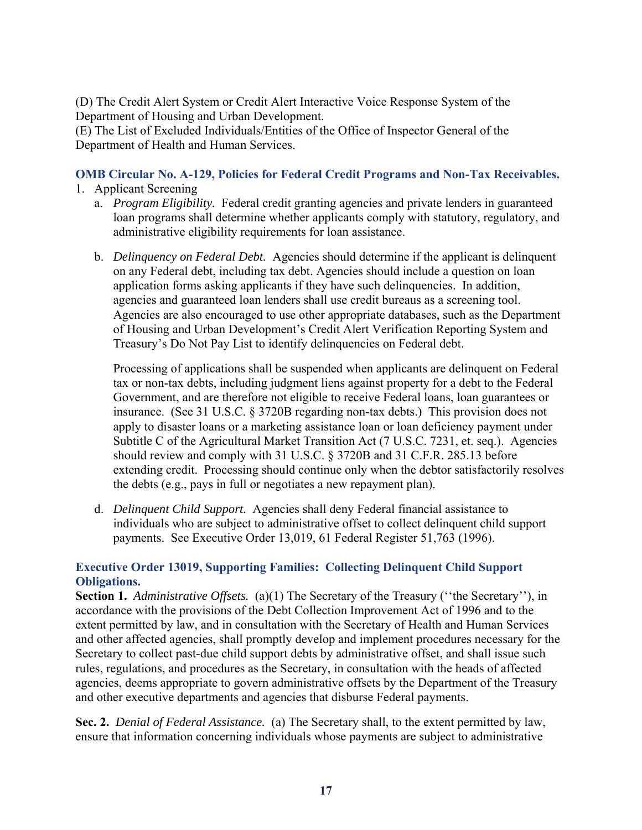(D) The Credit Alert System or Credit Alert Interactive Voice Response System of the Department of Housing and Urban Development.

(E) The List of Excluded Individuals/Entities of the Office of Inspector General of the Department of Health and Human Services.

# **OMB Circular No. A-129, Policies for Federal Credit Programs and Non-Tax Receivables.**

- 1. Applicant Screening
	- a. *Program Eligibility.* Federal credit granting agencies and private lenders in guaranteed loan programs shall determine whether applicants comply with statutory, regulatory, and administrative eligibility requirements for loan assistance.
	- b. *Delinquency on Federal Debt.* Agencies should determine if the applicant is delinquent on any Federal debt, including tax debt. Agencies should include a question on loan application forms asking applicants if they have such delinquencies. In addition, agencies and guaranteed loan lenders shall use credit bureaus as a screening tool. Agencies are also encouraged to use other appropriate databases, such as the Department of Housing and Urban Development's Credit Alert Verification Reporting System and Treasury's Do Not Pay List to identify delinquencies on Federal debt.

Processing of applications shall be suspended when applicants are delinquent on Federal tax or non-tax debts, including judgment liens against property for a debt to the Federal Government, and are therefore not eligible to receive Federal loans, loan guarantees or insurance. (See 31 U.S.C. § 3720B regarding non-tax debts.) This provision does not apply to disaster loans or a marketing assistance loan or loan deficiency payment under Subtitle C of the Agricultural Market Transition Act (7 U.S.C. 7231, et. seq.). Agencies should review and comply with 31 U.S.C. § 3720B and 31 C.F.R. 285.13 before extending credit. Processing should continue only when the debtor satisfactorily resolves the debts (e.g., pays in full or negotiates a new repayment plan).

d. *Delinquent Child Support.* Agencies shall deny Federal financial assistance to individuals who are subject to administrative offset to collect delinquent child support payments. See Executive Order 13,019, 61 Federal Register 51,763 (1996).

## **Executive Order 13019, Supporting Families: Collecting Delinquent Child Support Obligations.**

**Section 1.** *Administrative Offsets.* (a)(1) The Secretary of the Treasury (''the Secretary''), in accordance with the provisions of the Debt Collection Improvement Act of 1996 and to the extent permitted by law, and in consultation with the Secretary of Health and Human Services and other affected agencies, shall promptly develop and implement procedures necessary for the Secretary to collect past-due child support debts by administrative offset, and shall issue such rules, regulations, and procedures as the Secretary, in consultation with the heads of affected agencies, deems appropriate to govern administrative offsets by the Department of the Treasury and other executive departments and agencies that disburse Federal payments.

**Sec. 2.** *Denial of Federal Assistance.* (a) The Secretary shall, to the extent permitted by law, ensure that information concerning individuals whose payments are subject to administrative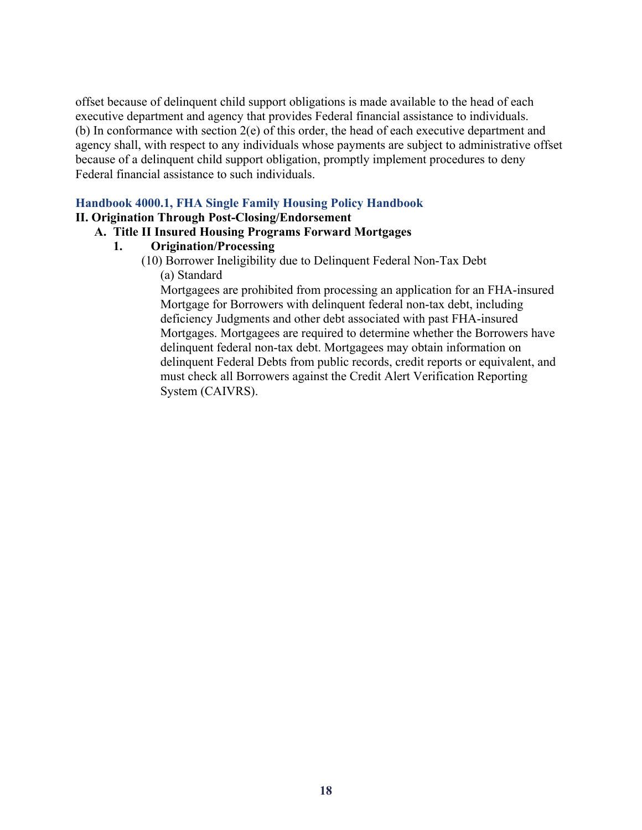offset because of delinquent child support obligations is made available to the head of each executive department and agency that provides Federal financial assistance to individuals. (b) In conformance with section 2(e) of this order, the head of each executive department and agency shall, with respect to any individuals whose payments are subject to administrative offset because of a delinquent child support obligation, promptly implement procedures to deny Federal financial assistance to such individuals.

### **Handbook 4000.1, FHA Single Family Housing Policy Handbook**

#### **II. Origination Through Post-Closing/Endorsement**

## **A. Title II Insured Housing Programs Forward Mortgages**

#### **1. Origination/Processing**

(10) Borrower Ineligibility due to Delinquent Federal Non-Tax Debt (a) Standard

Mortgagees are prohibited from processing an application for an FHA-insured Mortgage for Borrowers with delinquent federal non-tax debt, including deficiency Judgments and other debt associated with past FHA-insured Mortgages. Mortgagees are required to determine whether the Borrowers have delinquent federal non-tax debt. Mortgagees may obtain information on delinquent Federal Debts from public records, credit reports or equivalent, and must check all Borrowers against the Credit Alert Verification Reporting System (CAIVRS).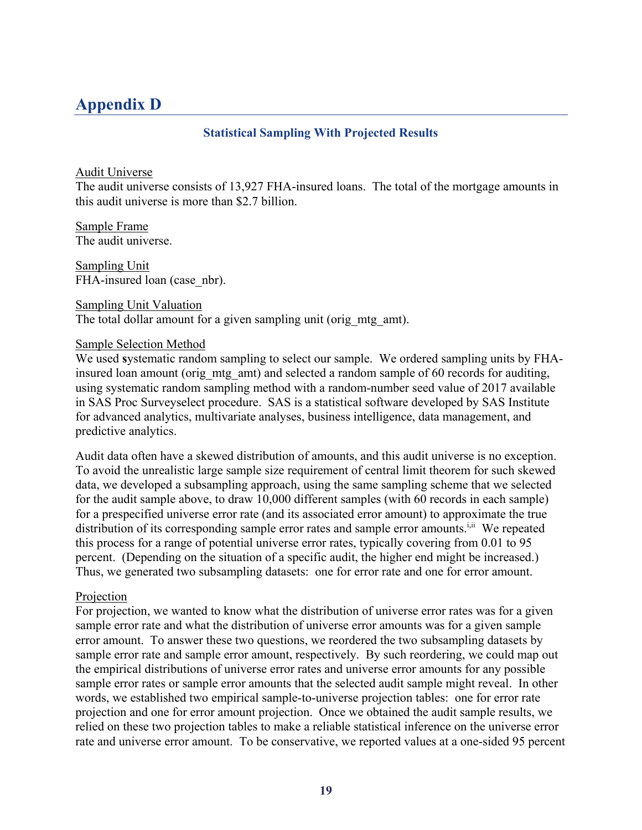# **Appendix D**

## **Statistical Sampling With Projected Results**

## Audit Universe

The audit universe consists of 13,927 FHA-insured loans. The total of the mortgage amounts in this audit universe is more than \$2.7 billion.

Sample FrameThe audit universe.

Sampling UnitFHA-insured loan (case nbr).

Sampling Unit Valuation The total dollar amount for a given sampling unit (orig mtg amt).

## Sample Selection Method

We used **s**ystematic random sampling to select our sample. We ordered sampling units by FHAinsured loan amount (orig\_mtg\_amt) and selected a random sample of 60 records for auditing, using systematic random sampling method with a random-number seed value of 2017 available in SAS Proc Surveyselect procedure. SAS is a statistical software developed by SAS Institute for advanced analytics, multivariate analyses, business intelligence, data management, and predictive analytics.

Audit data often have a skewed distribution of amounts, and this audit universe is no exception. To avoid the unrealistic large sample size requirement of central limit theorem for such skewed data, we developed a subsampling approach, using the same sampling scheme that we selected for the audit sample above, to draw 10,000 different samples (with 60 records in each sample) for a prespecified universe error rate (and its associated error amount) to approximate the true distribution of its corresponding sample error rates and sample error amounts.<sup>i,ii</sup> We repeated this process for a range of potential universe error rates, typically covering from 0.01 to 95 percent. (Depending on the situation of a specific audit, the higher end might be increased.) Thus, we generated two subsampling datasets: one for error rate and one for error amount.

## Projection

For projection, we wanted to know what the distribution of universe error rates was for a given sample error rate and what the distribution of universe error amounts was for a given sample error amount. To answer these two questions, we reordered the two subsampling datasets by sample error rate and sample error amount, respectively. By such reordering, we could map out the empirical distributions of universe error rates and universe error amounts for any possible sample error rates or sample error amounts that the selected audit sample might reveal. In other words, we established two empirical sample-to-universe projection tables: one for error rate projection and one for error amount projection. Once we obtained the audit sample results, we relied on these two projection tables to make a reliable statistical inference on the universe error rate and universe error amount. To be conservative, we reported values at a one-sided 95 percent